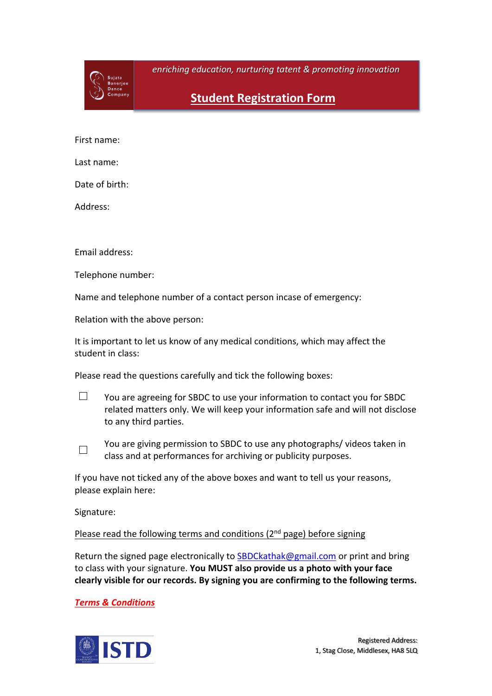

*enriching education, nurturing tatent & promoting innovation*

**Student Registration Form**

First name:

Last name:

Date of birth:

Address:

Email address:

Telephone number:

Name and telephone number of a contact person incase of emergency:

Relation with the above person:

It is important to let us know of any medical conditions, which may affect the student in class:

Please read the questions carefully and tick the following boxes:

 $\Box$ You are agreeing for SBDC to use your information to contact you for SBDC related matters only. We will keep your information safe and will not disclose to any third parties.

You are giving permission to SBDC to use any photographs/ videos taken in  $\Box$ class and at performances for archiving or publicity purposes.

If you have not ticked any of the above boxes and want to tell us your reasons, please explain here:

Signature:

# Please read the following terms and conditions  $(2^{nd}$  page) before signing

Return the signed page electronically to SBDCkathak@gmail.com or print and bring to class with your signature. **You MUST also provide us a photo with your face clearly visible for our records. By signing you are confirming to the following terms.**

*Terms & Conditions*